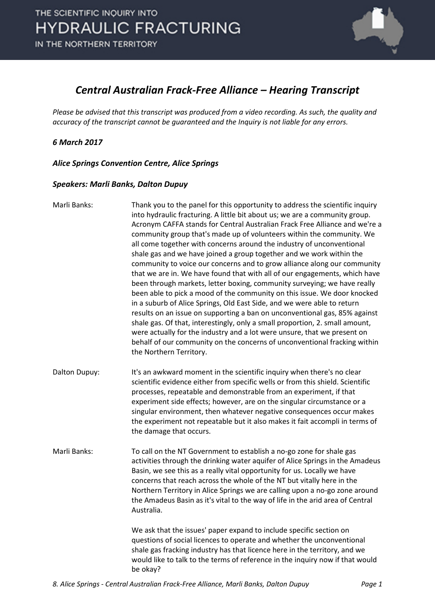

### *Central Australian Frack-Free Alliance – Hearing Transcript*

*Please be advised that this transcript was produced from a video recording. As such, the quality and accuracy of the transcript cannot be guaranteed and the Inquiry is not liable for any errors.*

### *6 March 2017*

*Alice Springs Convention Centre, Alice Springs* 

#### *Speakers: Marli Banks, Dalton Dupuy*

| Marli Banks:  | Thank you to the panel for this opportunity to address the scientific inquiry<br>into hydraulic fracturing. A little bit about us; we are a community group.<br>Acronym CAFFA stands for Central Australian Frack Free Alliance and we're a<br>community group that's made up of volunteers within the community. We<br>all come together with concerns around the industry of unconventional<br>shale gas and we have joined a group together and we work within the<br>community to voice our concerns and to grow alliance along our community<br>that we are in. We have found that with all of our engagements, which have<br>been through markets, letter boxing, community surveying; we have really<br>been able to pick a mood of the community on this issue. We door knocked<br>in a suburb of Alice Springs, Old East Side, and we were able to return<br>results on an issue on supporting a ban on unconventional gas, 85% against<br>shale gas. Of that, interestingly, only a small proportion, 2. small amount,<br>were actually for the industry and a lot were unsure, that we present on<br>behalf of our community on the concerns of unconventional fracking within<br>the Northern Territory. |
|---------------|----------------------------------------------------------------------------------------------------------------------------------------------------------------------------------------------------------------------------------------------------------------------------------------------------------------------------------------------------------------------------------------------------------------------------------------------------------------------------------------------------------------------------------------------------------------------------------------------------------------------------------------------------------------------------------------------------------------------------------------------------------------------------------------------------------------------------------------------------------------------------------------------------------------------------------------------------------------------------------------------------------------------------------------------------------------------------------------------------------------------------------------------------------------------------------------------------------------------|
| Dalton Dupuy: | It's an awkward moment in the scientific inquiry when there's no clear<br>scientific evidence either from specific wells or from this shield. Scientific<br>processes, repeatable and demonstrable from an experiment, if that<br>experiment side effects; however, are on the singular circumstance or a<br>singular environment, then whatever negative consequences occur makes<br>the experiment not repeatable but it also makes it fait accompli in terms of<br>the damage that occurs.                                                                                                                                                                                                                                                                                                                                                                                                                                                                                                                                                                                                                                                                                                                        |
| Marli Banks:  | To call on the NT Government to establish a no-go zone for shale gas<br>activities through the drinking water aquifer of Alice Springs in the Amadeus<br>Basin, we see this as a really vital opportunity for us. Locally we have<br>concerns that reach across the whole of the NT but vitally here in the<br>Northern Territory in Alice Springs we are calling upon a no-go zone around<br>the Amadeus Basin as it's vital to the way of life in the arid area of Central<br>Australia.                                                                                                                                                                                                                                                                                                                                                                                                                                                                                                                                                                                                                                                                                                                           |
|               | We ask that the issues' paper expand to include specific section on<br>questions of social licences to operate and whether the unconventional<br>shale gas fracking industry has that licence here in the territory, and we<br>would like to talk to the terms of reference in the inquiry now if that would<br>be okay?                                                                                                                                                                                                                                                                                                                                                                                                                                                                                                                                                                                                                                                                                                                                                                                                                                                                                             |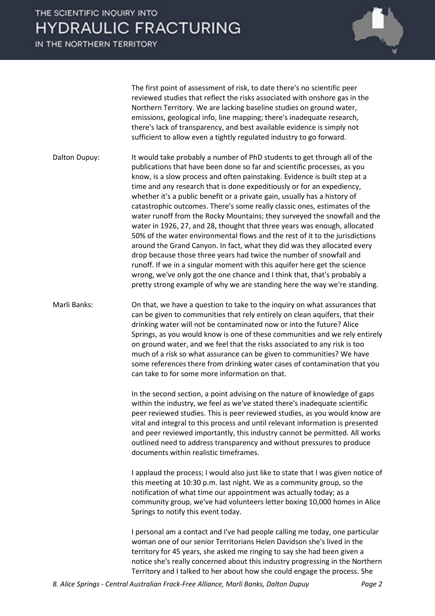IN THE NORTHERN TERRITORY



The first point of assessment of risk, to date there's no scientific peer reviewed studies that reflect the risks associated with onshore gas in the Northern Territory. We are lacking baseline studies on ground water, emissions, geological info, line mapping; there's inadequate research, there's lack of transparency, and best available evidence is simply not sufficient to allow even a tightly regulated industry to go forward.

Dalton Dupuy: It would take probably a number of PhD students to get through all of the publications that have been done so far and scientific processes, as you know, is a slow process and often painstaking. Evidence is built step at a time and any research that is done expeditiously or for an expediency, whether it's a public benefit or a private gain, usually has a history of catastrophic outcomes. There's some really classic ones, estimates of the water runoff from the Rocky Mountains; they surveyed the snowfall and the water in 1926, 27, and 28, thought that three years was enough, allocated 50% of the water environmental flows and the rest of it to the jurisdictions around the Grand Canyon. In fact, what they did was they allocated every drop because those three years had twice the number of snowfall and runoff. If we in a singular moment with this aquifer here get the science wrong, we've only got the one chance and I think that, that's probably a pretty strong example of why we are standing here the way we're standing.

Marli Banks: On that, we have a question to take to the inquiry on what assurances that can be given to communities that rely entirely on clean aquifers, that their drinking water will not be contaminated now or into the future? Alice Springs, as you would know is one of these communities and we rely entirely on ground water, and we feel that the risks associated to any risk is too much of a risk so what assurance can be given to communities? We have some references there from drinking water cases of contamination that you can take to for some more information on that.

> In the second section, a point advising on the nature of knowledge of gaps within the industry, we feel as we've stated there's inadequate scientific peer reviewed studies. This is peer reviewed studies, as you would know are vital and integral to this process and until relevant information is presented and peer reviewed importantly, this industry cannot be permitted. All works outlined need to address transparency and without pressures to produce documents within realistic timeframes.

> I applaud the process; I would also just like to state that I was given notice of this meeting at 10:30 p.m. last night. We as a community group, so the notification of what time our appointment was actually today; as a community group, we've had volunteers letter boxing 10,000 homes in Alice Springs to notify this event today.

> I personal am a contact and I've had people calling me today, one particular woman one of our senior Territorians Helen Davidson she's lived in the territory for 45 years, she asked me ringing to say she had been given a notice she's really concerned about this industry progressing in the Northern Territory and I talked to her about how she could engage the process. She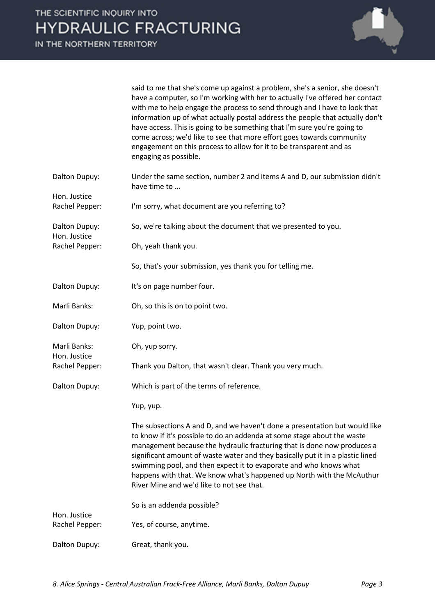

said to me that she's come up against a problem, she's a senior, she doesn't have a computer, so I'm working with her to actually I've offered her contact with me to help engage the process to send through and I have to look that information up of what actually postal address the people that actually don't have access. This is going to be something that I'm sure you're going to come across; we'd like to see that more effort goes towards community engagement on this process to allow for it to be transparent and as engaging as possible.

| Dalton Dupuy:                 | Under the same section, number 2 and items A and D, our submission didn't<br>have time to                                                                                                                                                                                                                                                                                                                                                                                                                     |
|-------------------------------|---------------------------------------------------------------------------------------------------------------------------------------------------------------------------------------------------------------------------------------------------------------------------------------------------------------------------------------------------------------------------------------------------------------------------------------------------------------------------------------------------------------|
| Hon. Justice                  |                                                                                                                                                                                                                                                                                                                                                                                                                                                                                                               |
| Rachel Pepper:                | I'm sorry, what document are you referring to?                                                                                                                                                                                                                                                                                                                                                                                                                                                                |
| Dalton Dupuy:<br>Hon. Justice | So, we're talking about the document that we presented to you.                                                                                                                                                                                                                                                                                                                                                                                                                                                |
| Rachel Pepper:                | Oh, yeah thank you.                                                                                                                                                                                                                                                                                                                                                                                                                                                                                           |
|                               | So, that's your submission, yes thank you for telling me.                                                                                                                                                                                                                                                                                                                                                                                                                                                     |
| Dalton Dupuy:                 | It's on page number four.                                                                                                                                                                                                                                                                                                                                                                                                                                                                                     |
| Marli Banks:                  | Oh, so this is on to point two.                                                                                                                                                                                                                                                                                                                                                                                                                                                                               |
| Dalton Dupuy:                 | Yup, point two.                                                                                                                                                                                                                                                                                                                                                                                                                                                                                               |
| Marli Banks:<br>Hon. Justice  | Oh, yup sorry.                                                                                                                                                                                                                                                                                                                                                                                                                                                                                                |
| Rachel Pepper:                | Thank you Dalton, that wasn't clear. Thank you very much.                                                                                                                                                                                                                                                                                                                                                                                                                                                     |
| Dalton Dupuy:                 | Which is part of the terms of reference.                                                                                                                                                                                                                                                                                                                                                                                                                                                                      |
|                               | Yup, yup.                                                                                                                                                                                                                                                                                                                                                                                                                                                                                                     |
|                               | The subsections A and D, and we haven't done a presentation but would like<br>to know if it's possible to do an addenda at some stage about the waste<br>management because the hydraulic fracturing that is done now produces a<br>significant amount of waste water and they basically put it in a plastic lined<br>swimming pool, and then expect it to evaporate and who knows what<br>happens with that. We know what's happened up North with the McAuthur<br>River Mine and we'd like to not see that. |
| Hon. Justice                  | So is an addenda possible?                                                                                                                                                                                                                                                                                                                                                                                                                                                                                    |
| Rachel Pepper:                | Yes, of course, anytime.                                                                                                                                                                                                                                                                                                                                                                                                                                                                                      |
| Dalton Dupuy:                 | Great, thank you.                                                                                                                                                                                                                                                                                                                                                                                                                                                                                             |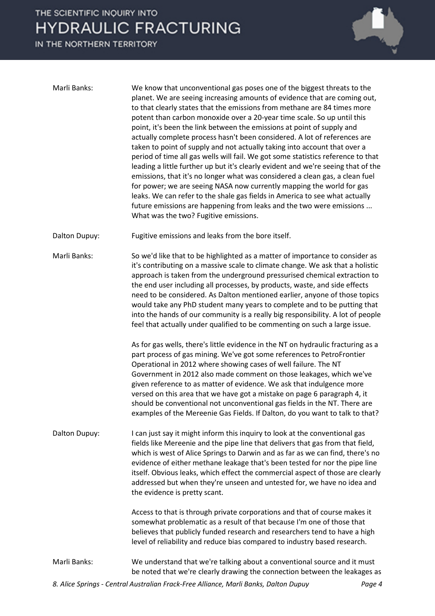IN THE NORTHERN TERRITORY

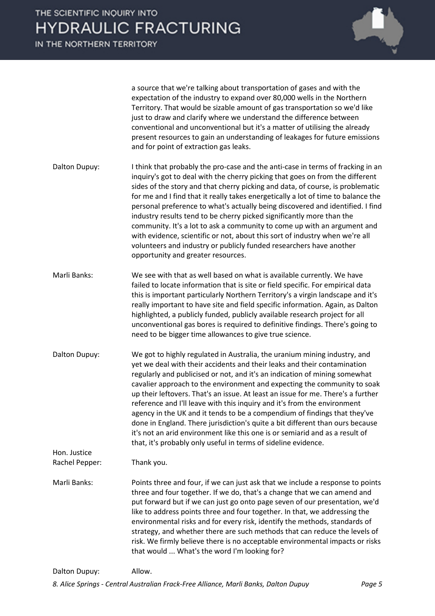

a source that we're talking about transportation of gases and with the expectation of the industry to expand over 80,000 wells in the Northern Territory. That would be sizable amount of gas transportation so we'd like just to draw and clarify where we understand the difference between conventional and unconventional but it's a matter of utilising the already present resources to gain an understanding of leakages for future emissions and for point of extraction gas leaks.

- Dalton Dupuy: I think that probably the pro-case and the anti-case in terms of fracking in an inquiry's got to deal with the cherry picking that goes on from the different sides of the story and that cherry picking and data, of course, is problematic for me and I find that it really takes energetically a lot of time to balance the personal preference to what's actually being discovered and identified. I find industry results tend to be cherry picked significantly more than the community. It's a lot to ask a community to come up with an argument and with evidence, scientific or not, about this sort of industry when we're all volunteers and industry or publicly funded researchers have another opportunity and greater resources.
- Marli Banks: We see with that as well based on what is available currently. We have failed to locate information that is site or field specific. For empirical data this is important particularly Northern Territory's a virgin landscape and it's really important to have site and field specific information. Again, as Dalton highlighted, a publicly funded, publicly available research project for all unconventional gas bores is required to definitive findings. There's going to need to be bigger time allowances to give true science.
- Dalton Dupuy: We got to highly regulated in Australia, the uranium mining industry, and yet we deal with their accidents and their leaks and their contamination regularly and publicised or not, and it's an indication of mining somewhat cavalier approach to the environment and expecting the community to soak up their leftovers. That's an issue. At least an issue for me. There's a further reference and I'll leave with this inquiry and it's from the environment agency in the UK and it tends to be a compendium of findings that they've done in England. There jurisdiction's quite a bit different than ours because it's not an arid environment like this one is or semiarid and as a result of that, it's probably only useful in terms of sideline evidence.

Hon. Justice Rachel Pepper: Thank you.

Marli Banks: Points three and four, if we can just ask that we include a response to points three and four together. If we do, that's a change that we can amend and put forward but if we can just go onto page seven of our presentation, we'd like to address points three and four together. In that, we addressing the environmental risks and for every risk, identify the methods, standards of strategy, and whether there are such methods that can reduce the levels of risk. We firmly believe there is no acceptable environmental impacts or risks that would ... What's the word I'm looking for?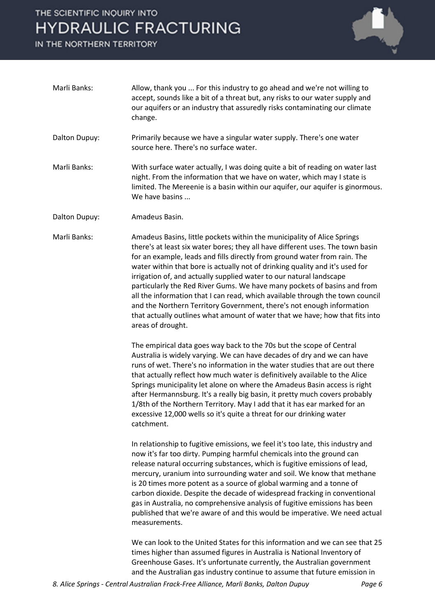IN THE NORTHERN TERRITORY



- Marli Banks: Allow, thank you ... For this industry to go ahead and we're not willing to accept, sounds like a bit of a threat but, any risks to our water supply and our aquifers or an industry that assuredly risks contaminating our climate change.
- Dalton Dupuy: Primarily because we have a singular water supply. There's one water source here. There's no surface water.
- Marli Banks: With surface water actually, I was doing quite a bit of reading on water last night. From the information that we have on water, which may I state is limited. The Mereenie is a basin within our aquifer, our aquifer is ginormous. We have basins ...
- Dalton Dupuy: Amadeus Basin.

Marli Banks: Amadeus Basins, little pockets within the municipality of Alice Springs there's at least six water bores; they all have different uses. The town basin for an example, leads and fills directly from ground water from rain. The water within that bore is actually not of drinking quality and it's used for irrigation of, and actually supplied water to our natural landscape particularly the Red River Gums. We have many pockets of basins and from all the information that I can read, which available through the town council and the Northern Territory Government, there's not enough information that actually outlines what amount of water that we have; how that fits into areas of drought.

> The empirical data goes way back to the 70s but the scope of Central Australia is widely varying. We can have decades of dry and we can have runs of wet. There's no information in the water studies that are out there that actually reflect how much water is definitively available to the Alice Springs municipality let alone on where the Amadeus Basin access is right after Hermannsburg. It's a really big basin, it pretty much covers probably 1/8th of the Northern Territory. May I add that it has ear marked for an excessive 12,000 wells so it's quite a threat for our drinking water catchment.

In relationship to fugitive emissions, we feel it's too late, this industry and now it's far too dirty. Pumping harmful chemicals into the ground can release natural occurring substances, which is fugitive emissions of lead, mercury, uranium into surrounding water and soil. We know that methane is 20 times more potent as a source of global warming and a tonne of carbon dioxide. Despite the decade of widespread fracking in conventional gas in Australia, no comprehensive analysis of fugitive emissions has been published that we're aware of and this would be imperative. We need actual measurements.

We can look to the United States for this information and we can see that 25 times higher than assumed figures in Australia is National Inventory of Greenhouse Gases. It's unfortunate currently, the Australian government and the Australian gas industry continue to assume that future emission in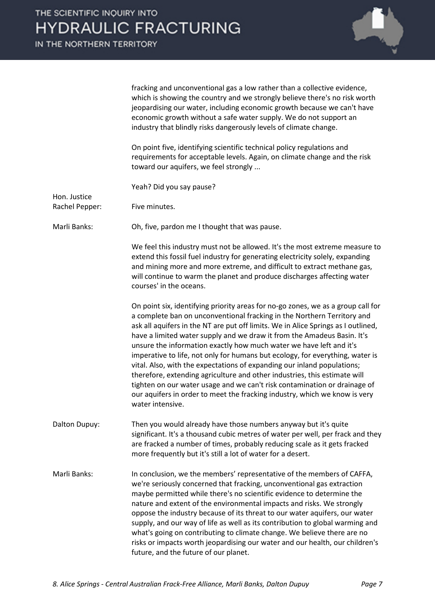|                | fracking and unconventional gas a low rather than a collective evidence,<br>which is showing the country and we strongly believe there's no risk worth<br>jeopardising our water, including economic growth because we can't have<br>economic growth without a safe water supply. We do not support an<br>industry that blindly risks dangerously levels of climate change.                                                                                                                                                                                                                                                                                                                                                                                                                                                |
|----------------|----------------------------------------------------------------------------------------------------------------------------------------------------------------------------------------------------------------------------------------------------------------------------------------------------------------------------------------------------------------------------------------------------------------------------------------------------------------------------------------------------------------------------------------------------------------------------------------------------------------------------------------------------------------------------------------------------------------------------------------------------------------------------------------------------------------------------|
|                | On point five, identifying scientific technical policy regulations and<br>requirements for acceptable levels. Again, on climate change and the risk<br>toward our aquifers, we feel strongly                                                                                                                                                                                                                                                                                                                                                                                                                                                                                                                                                                                                                               |
| Hon. Justice   | Yeah? Did you say pause?                                                                                                                                                                                                                                                                                                                                                                                                                                                                                                                                                                                                                                                                                                                                                                                                   |
| Rachel Pepper: | Five minutes.                                                                                                                                                                                                                                                                                                                                                                                                                                                                                                                                                                                                                                                                                                                                                                                                              |
| Marli Banks:   | Oh, five, pardon me I thought that was pause.                                                                                                                                                                                                                                                                                                                                                                                                                                                                                                                                                                                                                                                                                                                                                                              |
|                | We feel this industry must not be allowed. It's the most extreme measure to<br>extend this fossil fuel industry for generating electricity solely, expanding<br>and mining more and more extreme, and difficult to extract methane gas,<br>will continue to warm the planet and produce discharges affecting water<br>courses' in the oceans.                                                                                                                                                                                                                                                                                                                                                                                                                                                                              |
|                | On point six, identifying priority areas for no-go zones, we as a group call for<br>a complete ban on unconventional fracking in the Northern Territory and<br>ask all aquifers in the NT are put off limits. We in Alice Springs as I outlined,<br>have a limited water supply and we draw it from the Amadeus Basin. It's<br>unsure the information exactly how much water we have left and it's<br>imperative to life, not only for humans but ecology, for everything, water is<br>vital. Also, with the expectations of expanding our inland populations;<br>therefore, extending agriculture and other industries, this estimate will<br>tighten on our water usage and we can't risk contamination or drainage of<br>our aquifers in order to meet the fracking industry, which we know is very<br>water intensive. |
| Dalton Dupuy:  | Then you would already have those numbers anyway but it's quite<br>significant. It's a thousand cubic metres of water per well, per frack and they<br>are fracked a number of times, probably reducing scale as it gets fracked<br>more frequently but it's still a lot of water for a desert.                                                                                                                                                                                                                                                                                                                                                                                                                                                                                                                             |
| Marli Banks:   | In conclusion, we the members' representative of the members of CAFFA,<br>we're seriously concerned that fracking, unconventional gas extraction<br>maybe permitted while there's no scientific evidence to determine the<br>nature and extent of the environmental impacts and risks. We strongly<br>oppose the industry because of its threat to our water aquifers, our water<br>supply, and our way of life as well as its contribution to global warming and<br>what's going on contributing to climate change. We believe there are no<br>risks or impacts worth jeopardising our water and our health, our children's                                                                                                                                                                                               |

future, and the future of our planet.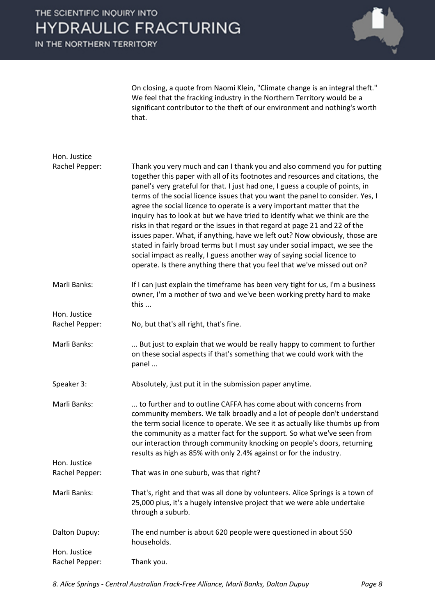IN THE NORTHERN TERRITORY



On closing, a quote from Naomi Klein, "Climate change is an integral theft." We feel that the fracking industry in the Northern Territory would be a significant contributor to the theft of our environment and nothing's worth that.

| Hon. Justice                   |                                                                                                                                                                                                                                                                                                                                                                                                                                                                                                                                                                                                                                                                                                                                                                                                                                                                                             |
|--------------------------------|---------------------------------------------------------------------------------------------------------------------------------------------------------------------------------------------------------------------------------------------------------------------------------------------------------------------------------------------------------------------------------------------------------------------------------------------------------------------------------------------------------------------------------------------------------------------------------------------------------------------------------------------------------------------------------------------------------------------------------------------------------------------------------------------------------------------------------------------------------------------------------------------|
| Rachel Pepper:                 | Thank you very much and can I thank you and also commend you for putting<br>together this paper with all of its footnotes and resources and citations, the<br>panel's very grateful for that. I just had one, I guess a couple of points, in<br>terms of the social licence issues that you want the panel to consider. Yes, I<br>agree the social licence to operate is a very important matter that the<br>inquiry has to look at but we have tried to identify what we think are the<br>risks in that regard or the issues in that regard at page 21 and 22 of the<br>issues paper. What, if anything, have we left out? Now obviously, those are<br>stated in fairly broad terms but I must say under social impact, we see the<br>social impact as really, I guess another way of saying social licence to<br>operate. Is there anything there that you feel that we've missed out on? |
| Marli Banks:                   | If I can just explain the timeframe has been very tight for us, I'm a business<br>owner, I'm a mother of two and we've been working pretty hard to make<br>this                                                                                                                                                                                                                                                                                                                                                                                                                                                                                                                                                                                                                                                                                                                             |
| Hon. Justice<br>Rachel Pepper: | No, but that's all right, that's fine.                                                                                                                                                                                                                                                                                                                                                                                                                                                                                                                                                                                                                                                                                                                                                                                                                                                      |
| Marli Banks:                   | But just to explain that we would be really happy to comment to further<br>on these social aspects if that's something that we could work with the<br>panel                                                                                                                                                                                                                                                                                                                                                                                                                                                                                                                                                                                                                                                                                                                                 |
| Speaker 3:                     | Absolutely, just put it in the submission paper anytime.                                                                                                                                                                                                                                                                                                                                                                                                                                                                                                                                                                                                                                                                                                                                                                                                                                    |
| Marli Banks:<br>Hon. Justice   | to further and to outline CAFFA has come about with concerns from<br>community members. We talk broadly and a lot of people don't understand<br>the term social licence to operate. We see it as actually like thumbs up from<br>the community as a matter fact for the support. So what we've seen from<br>our interaction through community knocking on people's doors, returning<br>results as high as 85% with only 2.4% against or for the industry.                                                                                                                                                                                                                                                                                                                                                                                                                                   |
| Rachel Pepper:                 | That was in one suburb, was that right?                                                                                                                                                                                                                                                                                                                                                                                                                                                                                                                                                                                                                                                                                                                                                                                                                                                     |
| Marli Banks:                   | That's, right and that was all done by volunteers. Alice Springs is a town of<br>25,000 plus, it's a hugely intensive project that we were able undertake<br>through a suburb.                                                                                                                                                                                                                                                                                                                                                                                                                                                                                                                                                                                                                                                                                                              |
| Dalton Dupuy:                  | The end number is about 620 people were questioned in about 550<br>households.                                                                                                                                                                                                                                                                                                                                                                                                                                                                                                                                                                                                                                                                                                                                                                                                              |
| Hon. Justice<br>Rachel Pepper: | Thank you.                                                                                                                                                                                                                                                                                                                                                                                                                                                                                                                                                                                                                                                                                                                                                                                                                                                                                  |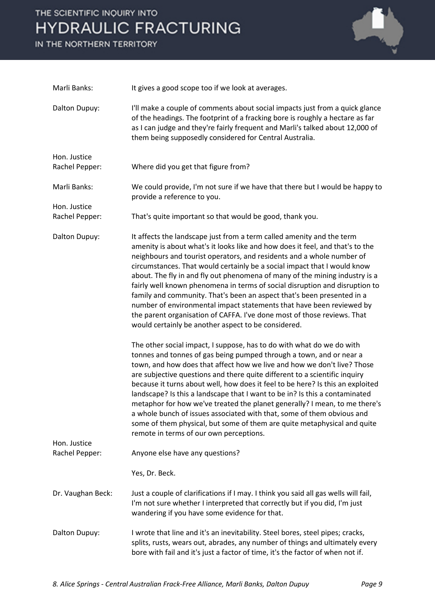IN THE NORTHERN TERRITORY



| Marli Banks:                 | It gives a good scope too if we look at averages.                                                                                                                                                                                                                                                                                                                                                                                                                                                                                                                                                                                                                                                                                                             |
|------------------------------|---------------------------------------------------------------------------------------------------------------------------------------------------------------------------------------------------------------------------------------------------------------------------------------------------------------------------------------------------------------------------------------------------------------------------------------------------------------------------------------------------------------------------------------------------------------------------------------------------------------------------------------------------------------------------------------------------------------------------------------------------------------|
| Dalton Dupuy:                | I'll make a couple of comments about social impacts just from a quick glance<br>of the headings. The footprint of a fracking bore is roughly a hectare as far<br>as I can judge and they're fairly frequent and Marli's talked about 12,000 of<br>them being supposedly considered for Central Australia.                                                                                                                                                                                                                                                                                                                                                                                                                                                     |
| Hon. Justice                 |                                                                                                                                                                                                                                                                                                                                                                                                                                                                                                                                                                                                                                                                                                                                                               |
| Rachel Pepper:               | Where did you get that figure from?                                                                                                                                                                                                                                                                                                                                                                                                                                                                                                                                                                                                                                                                                                                           |
| Marli Banks:<br>Hon. Justice | We could provide, I'm not sure if we have that there but I would be happy to<br>provide a reference to you.                                                                                                                                                                                                                                                                                                                                                                                                                                                                                                                                                                                                                                                   |
| Rachel Pepper:               | That's quite important so that would be good, thank you.                                                                                                                                                                                                                                                                                                                                                                                                                                                                                                                                                                                                                                                                                                      |
| Dalton Dupuy:                | It affects the landscape just from a term called amenity and the term<br>amenity is about what's it looks like and how does it feel, and that's to the<br>neighbours and tourist operators, and residents and a whole number of<br>circumstances. That would certainly be a social impact that I would know<br>about. The fly in and fly out phenomena of many of the mining industry is a<br>fairly well known phenomena in terms of social disruption and disruption to<br>family and community. That's been an aspect that's been presented in a<br>number of environmental impact statements that have been reviewed by<br>the parent organisation of CAFFA. I've done most of those reviews. That<br>would certainly be another aspect to be considered. |
| Hon. Justice                 | The other social impact, I suppose, has to do with what do we do with<br>tonnes and tonnes of gas being pumped through a town, and or near a<br>town, and how does that affect how we live and how we don't live? Those<br>are subjective questions and there quite different to a scientific inquiry<br>because it turns about well, how does it feel to be here? Is this an exploited<br>landscape? Is this a landscape that I want to be in? Is this a contaminated<br>metaphor for how we've treated the planet generally? I mean, to me there's<br>a whole bunch of issues associated with that, some of them obvious and<br>some of them physical, but some of them are quite metaphysical and quite<br>remote in terms of our own perceptions.         |
| Rachel Pepper:               | Anyone else have any questions?                                                                                                                                                                                                                                                                                                                                                                                                                                                                                                                                                                                                                                                                                                                               |
|                              | Yes, Dr. Beck.                                                                                                                                                                                                                                                                                                                                                                                                                                                                                                                                                                                                                                                                                                                                                |
| Dr. Vaughan Beck:            | Just a couple of clarifications if I may. I think you said all gas wells will fail,<br>I'm not sure whether I interpreted that correctly but if you did, I'm just<br>wandering if you have some evidence for that.                                                                                                                                                                                                                                                                                                                                                                                                                                                                                                                                            |
| Dalton Dupuy:                | I wrote that line and it's an inevitability. Steel bores, steel pipes; cracks,<br>splits, rusts, wears out, abrades, any number of things and ultimately every<br>bore with fail and it's just a factor of time, it's the factor of when not if.                                                                                                                                                                                                                                                                                                                                                                                                                                                                                                              |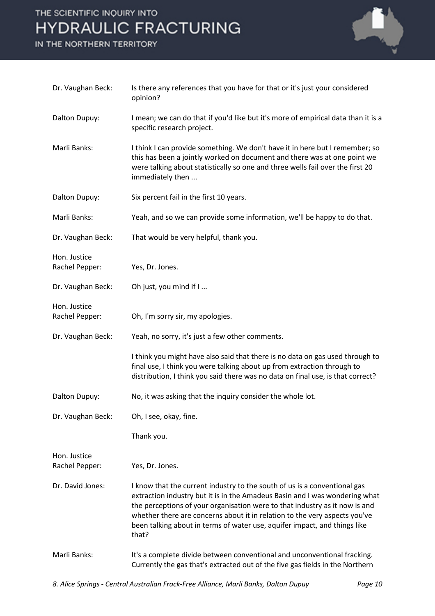IN THE NORTHERN TERRITORY



| Dr. Vaughan Beck:              | Is there any references that you have for that or it's just your considered<br>opinion?                                                                                                                                                                                                                                                                                                                     |
|--------------------------------|-------------------------------------------------------------------------------------------------------------------------------------------------------------------------------------------------------------------------------------------------------------------------------------------------------------------------------------------------------------------------------------------------------------|
| Dalton Dupuy:                  | I mean; we can do that if you'd like but it's more of empirical data than it is a<br>specific research project.                                                                                                                                                                                                                                                                                             |
| Marli Banks:                   | I think I can provide something. We don't have it in here but I remember; so<br>this has been a jointly worked on document and there was at one point we<br>were talking about statistically so one and three wells fail over the first 20<br>immediately then                                                                                                                                              |
| Dalton Dupuy:                  | Six percent fail in the first 10 years.                                                                                                                                                                                                                                                                                                                                                                     |
| Marli Banks:                   | Yeah, and so we can provide some information, we'll be happy to do that.                                                                                                                                                                                                                                                                                                                                    |
| Dr. Vaughan Beck:              | That would be very helpful, thank you.                                                                                                                                                                                                                                                                                                                                                                      |
| Hon. Justice<br>Rachel Pepper: | Yes, Dr. Jones.                                                                                                                                                                                                                                                                                                                                                                                             |
| Dr. Vaughan Beck:              | Oh just, you mind if I                                                                                                                                                                                                                                                                                                                                                                                      |
| Hon. Justice<br>Rachel Pepper: | Oh, I'm sorry sir, my apologies.                                                                                                                                                                                                                                                                                                                                                                            |
| Dr. Vaughan Beck:              | Yeah, no sorry, it's just a few other comments.                                                                                                                                                                                                                                                                                                                                                             |
|                                | I think you might have also said that there is no data on gas used through to<br>final use, I think you were talking about up from extraction through to<br>distribution, I think you said there was no data on final use, is that correct?                                                                                                                                                                 |
| Dalton Dupuy:                  | No, it was asking that the inquiry consider the whole lot.                                                                                                                                                                                                                                                                                                                                                  |
| Dr. Vaughan Beck:              | Oh, I see, okay, fine.                                                                                                                                                                                                                                                                                                                                                                                      |
|                                | Thank you.                                                                                                                                                                                                                                                                                                                                                                                                  |
| Hon. Justice<br>Rachel Pepper: | Yes, Dr. Jones.                                                                                                                                                                                                                                                                                                                                                                                             |
| Dr. David Jones:               | I know that the current industry to the south of us is a conventional gas<br>extraction industry but it is in the Amadeus Basin and I was wondering what<br>the perceptions of your organisation were to that industry as it now is and<br>whether there are concerns about it in relation to the very aspects you've<br>been talking about in terms of water use, aquifer impact, and things like<br>that? |
| Marli Banks:                   | It's a complete divide between conventional and unconventional fracking.<br>Currently the gas that's extracted out of the five gas fields in the Northern                                                                                                                                                                                                                                                   |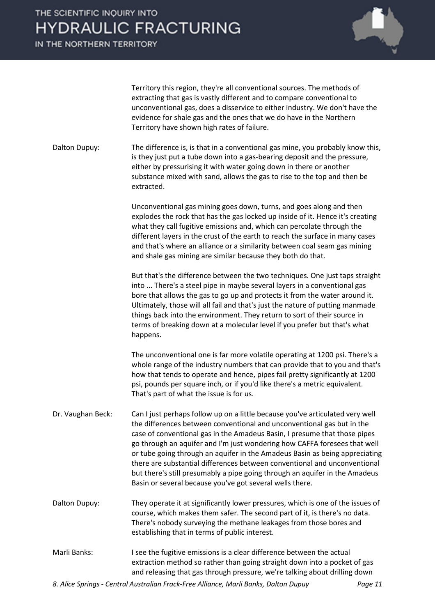IN THE NORTHERN TERRITORY



Territory this region, they're all conventional sources. The methods of extracting that gas is vastly different and to compare conventional to unconventional gas, does a disservice to either industry. We don't have the evidence for shale gas and the ones that we do have in the Northern Territory have shown high rates of failure.

Dalton Dupuy: The difference is, is that in a conventional gas mine, you probably know this, is they just put a tube down into a gas-bearing deposit and the pressure, either by pressurising it with water going down in there or another substance mixed with sand, allows the gas to rise to the top and then be extracted.

> Unconventional gas mining goes down, turns, and goes along and then explodes the rock that has the gas locked up inside of it. Hence it's creating what they call fugitive emissions and, which can percolate through the different layers in the crust of the earth to reach the surface in many cases and that's where an alliance or a similarity between coal seam gas mining and shale gas mining are similar because they both do that.

But that's the difference between the two techniques. One just taps straight into ... There's a steel pipe in maybe several layers in a conventional gas bore that allows the gas to go up and protects it from the water around it. Ultimately, those will all fail and that's just the nature of putting manmade things back into the environment. They return to sort of their source in terms of breaking down at a molecular level if you prefer but that's what happens.

The unconventional one is far more volatile operating at 1200 psi. There's a whole range of the industry numbers that can provide that to you and that's how that tends to operate and hence, pipes fail pretty significantly at 1200 psi, pounds per square inch, or if you'd like there's a metric equivalent. That's part of what the issue is for us.

- Dr. Vaughan Beck: Can I just perhaps follow up on a little because you've articulated very well the differences between conventional and unconventional gas but in the case of conventional gas in the Amadeus Basin, I presume that those pipes go through an aquifer and I'm just wondering how CAFFA foresees that well or tube going through an aquifer in the Amadeus Basin as being appreciating there are substantial differences between conventional and unconventional but there's still presumably a pipe going through an aquifer in the Amadeus Basin or several because you've got several wells there.
- Dalton Dupuy: They operate it at significantly lower pressures, which is one of the issues of course, which makes them safer. The second part of it, is there's no data. There's nobody surveying the methane leakages from those bores and establishing that in terms of public interest.
- Marli Banks: I see the fugitive emissions is a clear difference between the actual extraction method so rather than going straight down into a pocket of gas and releasing that gas through pressure, we're talking about drilling down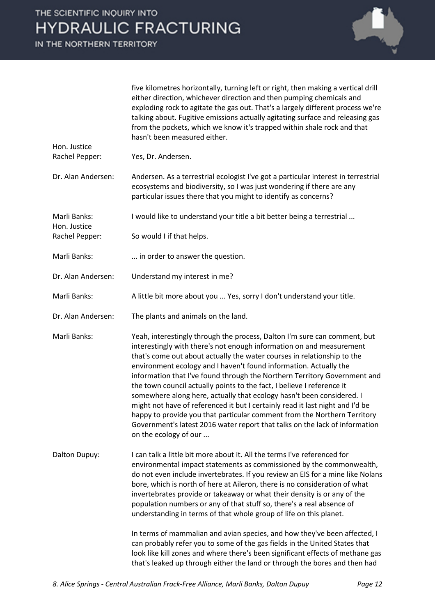IN THE NORTHERN TERRITORY

Hon. Justice

Hon. Justice

| five kilometres horizontally, turning left or right, then making a vertical drill |
|-----------------------------------------------------------------------------------|
| either direction, whichever direction and then pumping chemicals and              |
| exploding rock to agitate the gas out. That's a largely different process we're   |
| talking about. Fugitive emissions actually agitating surface and releasing gas    |
| from the pockets, which we know it's trapped within shale rock and that           |
| hasn't been measured either.                                                      |

Rachel Pepper: Yes, Dr. Andersen.

- Dr. Alan Andersen: Andersen. As a terrestrial ecologist I've got a particular interest in terrestrial ecosystems and biodiversity, so I was just wondering if there are any particular issues there that you might to identify as concerns?
- Marli Banks: I would like to understand your title a bit better being a terrestrial ...
- Rachel Pepper: So would I if that helps.
- Marli Banks: ... in order to answer the question.
- Dr. Alan Andersen: Understand my interest in me?
- Marli Banks: A little bit more about you ... Yes, sorry I don't understand your title.
- Dr. Alan Andersen: The plants and animals on the land.
- Marli Banks: Yeah, interestingly through the process, Dalton I'm sure can comment, but interestingly with there's not enough information on and measurement that's come out about actually the water courses in relationship to the environment ecology and I haven't found information. Actually the information that I've found through the Northern Territory Government and the town council actually points to the fact, I believe I reference it somewhere along here, actually that ecology hasn't been considered. I might not have of referenced it but I certainly read it last night and I'd be happy to provide you that particular comment from the Northern Territory Government's latest 2016 water report that talks on the lack of information on the ecology of our ...
- Dalton Dupuy: I can talk a little bit more about it. All the terms I've referenced for environmental impact statements as commissioned by the commonwealth, do not even include invertebrates. If you review an EIS for a mine like Nolans bore, which is north of here at Aileron, there is no consideration of what invertebrates provide or takeaway or what their density is or any of the population numbers or any of that stuff so, there's a real absence of understanding in terms of that whole group of life on this planet.

In terms of mammalian and avian species, and how they've been affected, I can probably refer you to some of the gas fields in the United States that look like kill zones and where there's been significant effects of methane gas that's leaked up through either the land or through the bores and then had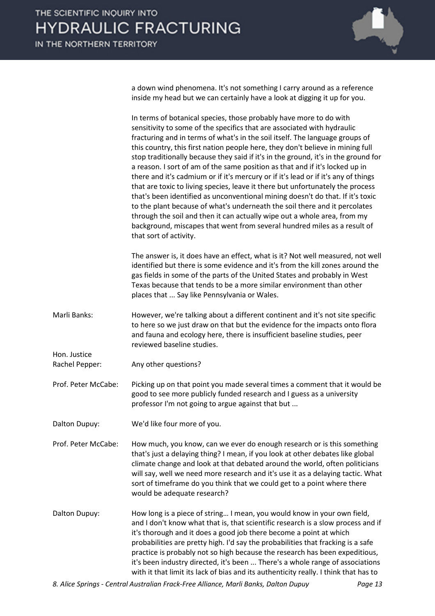

a down wind phenomena. It's not something I carry around as a reference inside my head but we can certainly have a look at digging it up for you.

In terms of botanical species, those probably have more to do with sensitivity to some of the specifics that are associated with hydraulic fracturing and in terms of what's in the soil itself. The language groups of this country, this first nation people here, they don't believe in mining full stop traditionally because they said if it's in the ground, it's in the ground for a reason. I sort of am of the same position as that and if it's locked up in there and it's cadmium or if it's mercury or if it's lead or if it's any of things that are toxic to living species, leave it there but unfortunately the process that's been identified as unconventional mining doesn't do that. If it's toxic to the plant because of what's underneath the soil there and it percolates through the soil and then it can actually wipe out a whole area, from my background, miscapes that went from several hundred miles as a result of that sort of activity.

The answer is, it does have an effect, what is it? Not well measured, not well identified but there is some evidence and it's from the kill zones around the gas fields in some of the parts of the United States and probably in West Texas because that tends to be a more similar environment than other places that ... Say like Pennsylvania or Wales.

- Marli Banks: However, we're talking about a different continent and it's not site specific to here so we just draw on that but the evidence for the impacts onto flora and fauna and ecology here, there is insufficient baseline studies, peer reviewed baseline studies.
- Rachel Pepper: Any other questions?

Hon. Justice

- Prof. Peter McCabe: Picking up on that point you made several times a comment that it would be good to see more publicly funded research and I guess as a university professor I'm not going to argue against that but ...
- Dalton Dupuy: We'd like four more of you.
- Prof. Peter McCabe: How much, you know, can we ever do enough research or is this something that's just a delaying thing? I mean, if you look at other debates like global climate change and look at that debated around the world, often politicians will say, well we need more research and it's use it as a delaying tactic. What sort of timeframe do you think that we could get to a point where there would be adequate research?
- Dalton Dupuy: How long is a piece of string… I mean, you would know in your own field, and I don't know what that is, that scientific research is a slow process and if it's thorough and it does a good job there become a point at which probabilities are pretty high. I'd say the probabilities that fracking is a safe practice is probably not so high because the research has been expeditious, it's been industry directed, it's been ... There's a whole range of associations with it that limit its lack of bias and its authenticity really. I think that has to